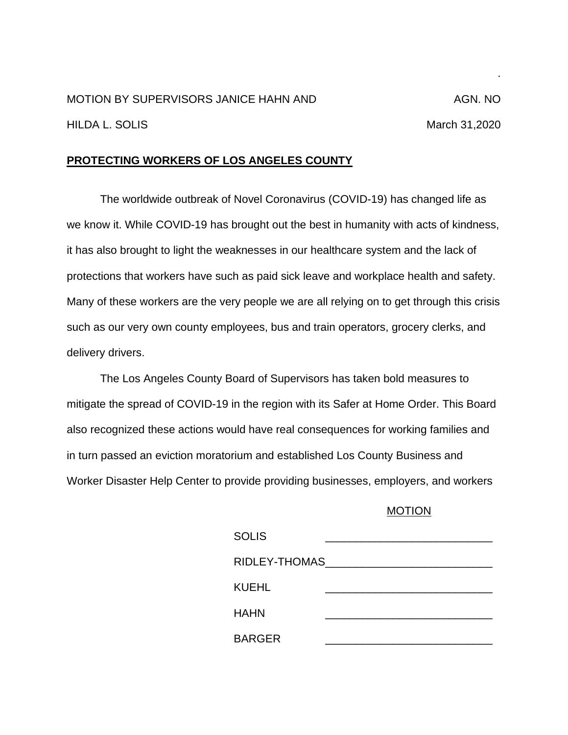## MOTION BY SUPERVISORS JANICE HAHN AND AGN. NO HILDA L. SOLIS March 31,2020

## **PROTECTING WORKERS OF LOS ANGELES COUNTY**

The worldwide outbreak of Novel Coronavirus (COVID-19) has changed life as we know it. While COVID-19 has brought out the best in humanity with acts of kindness, it has also brought to light the weaknesses in our healthcare system and the lack of protections that workers have such as paid sick leave and workplace health and safety. Many of these workers are the very people we are all relying on to get through this crisis such as our very own county employees, bus and train operators, grocery clerks, and delivery drivers.

The Los Angeles County Board of Supervisors has taken bold measures to mitigate the spread of COVID-19 in the region with its Safer at Home Order. This Board also recognized these actions would have real consequences for working families and in turn passed an eviction moratorium and established Los County Business and Worker Disaster Help Center to provide providing businesses, employers, and workers

## MOTION

| <b>SOLIS</b>  |  |
|---------------|--|
| RIDLEY-THOMAS |  |
| <b>KUEHL</b>  |  |
| HAHN          |  |
| <b>BARGER</b> |  |

.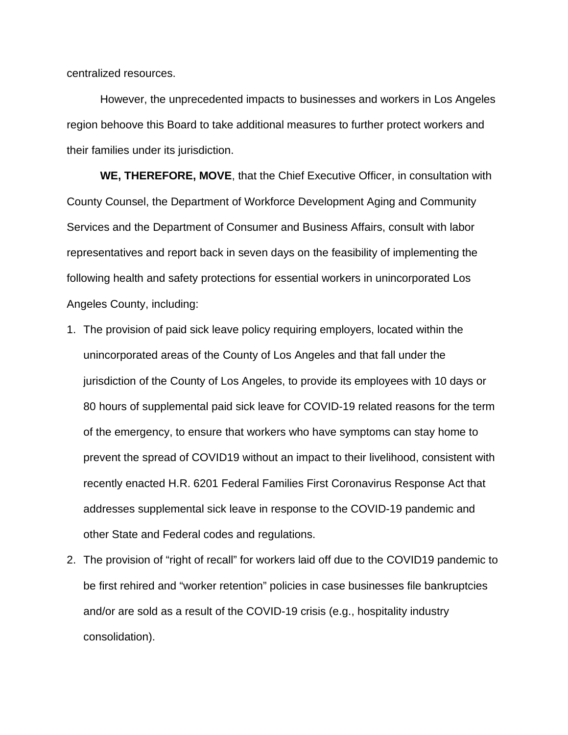centralized resources.

However, the unprecedented impacts to businesses and workers in Los Angeles region behoove this Board to take additional measures to further protect workers and their families under its jurisdiction.

**WE, THEREFORE, MOVE**, that the Chief Executive Officer, in consultation with County Counsel, the Department of Workforce Development Aging and Community Services and the Department of Consumer and Business Affairs, consult with labor representatives and report back in seven days on the feasibility of implementing the following health and safety protections for essential workers in unincorporated Los Angeles County, including:

- 1. The provision of paid sick leave policy requiring employers, located within the unincorporated areas of the County of Los Angeles and that fall under the jurisdiction of the County of Los Angeles, to provide its employees with 10 days or 80 hours of supplemental paid sick leave for COVID-19 related reasons for the term of the emergency, to ensure that workers who have symptoms can stay home to prevent the spread of COVID19 without an impact to their livelihood, consistent with recently enacted H.R. 6201 Federal Families First Coronavirus Response Act that addresses supplemental sick leave in response to the COVID-19 pandemic and other State and Federal codes and regulations.
- 2. The provision of "right of recall" for workers laid off due to the COVID19 pandemic to be first rehired and "worker retention" policies in case businesses file bankruptcies and/or are sold as a result of the COVID-19 crisis (e.g., hospitality industry consolidation).